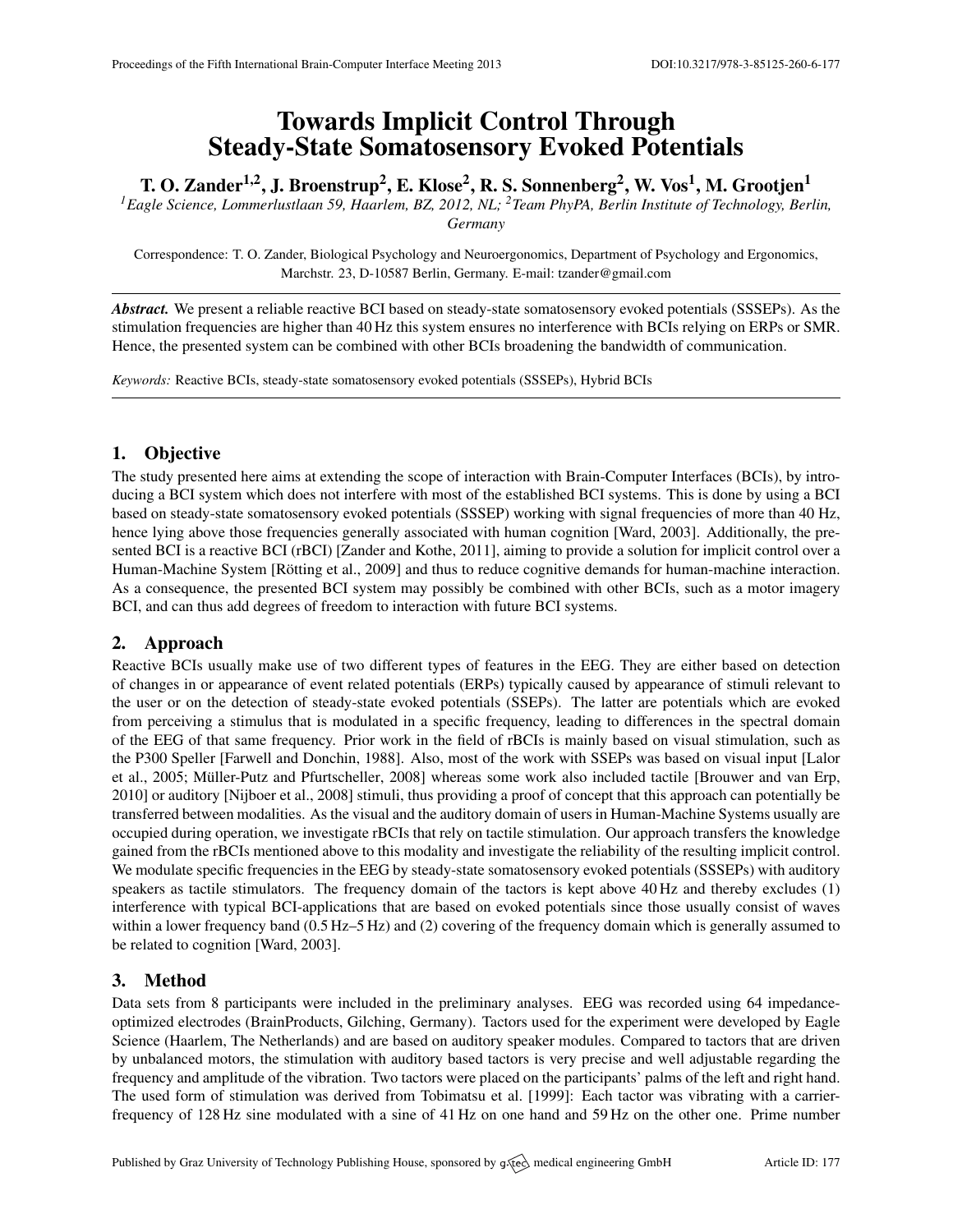# Towards Implicit Control Through Steady-State Somatosensory Evoked Potentials

T. O. Zander<sup>1,2</sup>, J. Broenstrup<sup>2</sup>, E. Klose<sup>2</sup>, R. S. Sonnenberg<sup>2</sup>, W. Vos<sup>1</sup>, M. Grootjen<sup>1</sup>

*<sup>1</sup>Eagle Science, Lommerlustlaan 59, Haarlem, BZ, 2012, NL; <sup>2</sup>Team PhyPA, Berlin Institute of Technology, Berlin, Germany*

Correspondence: T. O. Zander, Biological Psychology and Neuroergonomics, Department of Psychology and Ergonomics, Marchstr. 23, D-10587 Berlin, Germany. E-mail: [tzander@gmail.com](mailto:tzander@gmail.com)

*Abstract.* We present a reliable reactive BCI based on steady-state somatosensory evoked potentials (SSSEPs). As the stimulation frequencies are higher than 40 Hz this system ensures no interference with BCIs relying on ERPs or SMR. Hence, the presented system can be combined with other BCIs broadening the bandwidth of communication.

*Keywords:* Reactive BCIs, steady-state somatosensory evoked potentials (SSSEPs), Hybrid BCIs

## 1. Objective

The study presented here aims at extending the scope of interaction with Brain-Computer Interfaces (BCIs), by introducing a BCI system which does not interfere with most of the established BCI systems. This is done by using a BCI based on steady-state somatosensory evoked potentials (SSSEP) working with signal frequencies of more than 40 Hz, hence lying above those frequencies generally associated with human cognition [\[Ward,](#page-1-0) [2003\]](#page-1-0). Additionally, the pre-sented BCI is a reactive BCI (rBCI) [\[Zander and Kothe,](#page-1-1) [2011\]](#page-1-1), aiming to provide a solution for implicit control over a Human-Machine System [Rötting et al., [2009\]](#page-1-2) and thus to reduce cognitive demands for human-machine interaction. As a consequence, the presented BCI system may possibly be combined with other BCIs, such as a motor imagery BCI, and can thus add degrees of freedom to interaction with future BCI systems.

## 2. Approach

Reactive BCIs usually make use of two different types of features in the EEG. They are either based on detection of changes in or appearance of event related potentials (ERPs) typically caused by appearance of stimuli relevant to the user or on the detection of steady-state evoked potentials (SSEPs). The latter are potentials which are evoked from perceiving a stimulus that is modulated in a specific frequency, leading to differences in the spectral domain of the EEG of that same frequency. Prior work in the field of rBCIs is mainly based on visual stimulation, such as the P300 Speller [\[Farwell and Donchin,](#page-1-3) [1988\]](#page-1-3). Also, most of the work with SSEPs was based on visual input [\[Lalor](#page-1-4) [et al.,](#page-1-4) [2005;](#page-1-4) Müller-Putz and Pfurtscheller, [2008\]](#page-1-5) whereas some work also included tactile [\[Brouwer and van Erp,](#page-1-6) [2010\]](#page-1-6) or auditory [\[Nijboer et al.,](#page-1-7) [2008\]](#page-1-7) stimuli, thus providing a proof of concept that this approach can potentially be transferred between modalities. As the visual and the auditory domain of users in Human-Machine Systems usually are occupied during operation, we investigate rBCIs that rely on tactile stimulation. Our approach transfers the knowledge gained from the rBCIs mentioned above to this modality and investigate the reliability of the resulting implicit control. We modulate specific frequencies in the EEG by steady-state somatosensory evoked potentials (SSSEPs) with auditory speakers as tactile stimulators. The frequency domain of the tactors is kept above 40 Hz and thereby excludes (1) interference with typical BCI-applications that are based on evoked potentials since those usually consist of waves within a lower frequency band (0.5 Hz–5 Hz) and (2) covering of the frequency domain which is generally assumed to be related to cognition [\[Ward,](#page-1-0) [2003\]](#page-1-0).

## 3. Method

Data sets from 8 participants were included in the preliminary analyses. EEG was recorded using 64 impedanceoptimized electrodes (BrainProducts, Gilching, Germany). Tactors used for the experiment were developed by Eagle Science (Haarlem, The Netherlands) and are based on auditory speaker modules. Compared to tactors that are driven by unbalanced motors, the stimulation with auditory based tactors is very precise and well adjustable regarding the frequency and amplitude of the vibration. Two tactors were placed on the participants' palms of the left and right hand. The used form of stimulation was derived from [Tobimatsu et al.](#page-1-8) [\[1999\]](#page-1-8): Each tactor was vibrating with a carrierfrequency of 128 Hz sine modulated with a sine of 41 Hz on one hand and 59 Hz on the other one. Prime number